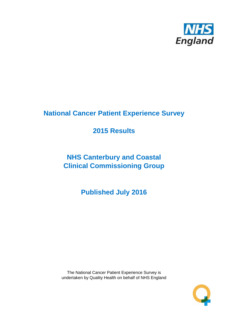

# **National Cancer Patient Experience Survey**

# **2015 Results**

# **NHS Canterbury and Coastal Clinical Commissioning Group**

**Published July 2016**

The National Cancer Patient Experience Survey is undertaken by Quality Health on behalf of NHS England

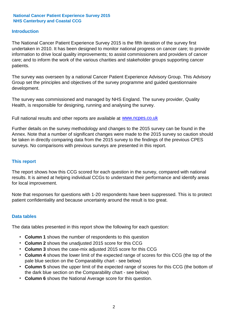#### **Introduction**

The National Cancer Patient Experience Survey 2015 is the fifth iteration of the survey first undertaken in 2010. It has been designed to monitor national progress on cancer care; to provide information to drive local quality improvements; to assist commissioners and providers of cancer care; and to inform the work of the various charities and stakeholder groups supporting cancer patients.

The survey was overseen by a national Cancer Patient Experience Advisory Group. This Advisory Group set the principles and objectives of the survey programme and guided questionnaire development.

The survey was commissioned and managed by NHS England. The survey provider, Quality Health, is responsible for designing, running and analysing the survey.

Full national results and other reports are available at www.ncpes.co.uk

Further details on the survey methodology and changes to the 2015 survey can be found in the Annex. Note that a number of significant changes were made to the 2015 survey so caution should be taken in directly comparing data from the 2015 survey to the findings of the previous CPES surveys. No comparisons with previous surveys are presented in this report.

#### **This report**

The report shows how this CCG scored for each question in the survey, compared with national results. It is aimed at helping individual CCGs to understand their performance and identify areas for local improvement.

Note that responses for questions with 1-20 respondents have been suppressed. This is to protect patient confidentiality and because uncertainty around the result is too great.

#### **Data tables**

The data tables presented in this report show the following for each question:

- **Column 1** shows the number of respondents to this question
- **Column 2** shows the unadjusted 2015 score for this CCG
- **Column 3** shows the case-mix adjusted 2015 score for this CCG
- **Column 4** shows the lower limit of the expected range of scores for this CCG (the top of the pale blue section on the Comparability chart - see below)
- **Column 5** shows the upper limit of the expected range of scores for this CCG (the bottom of the dark blue section on the Comparability chart - see below)
- **Column 6** shows the National Average score for this question.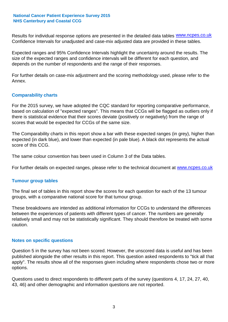Results for individual response options are presented in the detailed data tables **WWW.ncpes.co.uk** Confidence Intervals for unadjusted and case-mix adjusted data are provided in these tables.

Expected ranges and 95% Confidence Intervals highlight the uncertainty around the results. The size of the expected ranges and confidence intervals will be different for each question, and depends on the number of respondents and the range of their responses.

For further details on case-mix adjustment and the scoring methodology used, please refer to the Annex.

#### **Comparability charts**

For the 2015 survey, we have adopted the CQC standard for reporting comparative performance, based on calculation of "expected ranges". This means that CCGs will be flagged as outliers only if there is statistical evidence that their scores deviate (positively or negatively) from the range of scores that would be expected for CCGs of the same size.

The Comparability charts in this report show a bar with these expected ranges (in grey), higher than expected (in dark blue), and lower than expected (in pale blue). A black dot represents the actual score of this CCG.

The same colour convention has been used in Column 3 of the Data tables.

For further details on expected ranges, please refer to the technical document at **www.ncpes.co.uk** 

#### **Tumour group tables**

The final set of tables in this report show the scores for each question for each of the 13 tumour groups, with a comparative national score for that tumour group.

These breakdowns are intended as additional information for CCGs to understand the differences between the experiences of patients with different types of cancer. The numbers are generally relatively small and may not be statistically significant. They should therefore be treated with some caution.

#### **Notes on specific questions**

Question 5 in the survey has not been scored. However, the unscored data is useful and has been published alongside the other results in this report. This question asked respondents to "tick all that apply". The results show all of the responses given including where respondents chose two or more options.

Questions used to direct respondents to different parts of the survey (questions 4, 17, 24, 27, 40, 43, 46) and other demographic and information questions are not reported.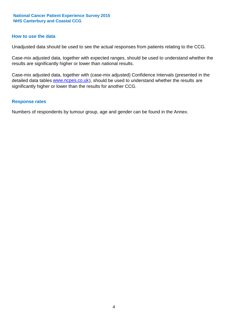#### **How to use the data**

Unadjusted data should be used to see the actual responses from patients relating to the CCG.

Case-mix adjusted data, together with expected ranges, should be used to understand whether the results are significantly higher or lower than national results.

Case-mix adjusted data, together with (case-mix adjusted) Confidence Intervals (presented in the detailed data tables **www.ncpes.co.uk**), should be used to understand whether the results are significantly higher or lower than the results for another CCG.

#### **Response rates**

Numbers of respondents by tumour group, age and gender can be found in the Annex.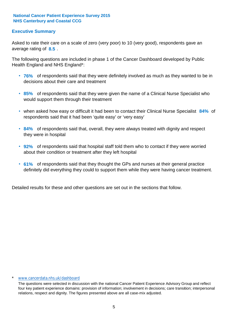## **Executive Summary**

average rating of 8.5. Asked to rate their care on a scale of zero (very poor) to 10 (very good), respondents gave an

The following questions are included in phase 1 of the Cancer Dashboard developed by Public Health England and NHS England\*:

- **76%** of respondents said that they were definitely involved as much as they wanted to be in decisions about their care and treatment
- **85%** of respondents said that they were given the name of a Clinical Nurse Specialist who would support them through their treatment
- when asked how easy or difficult it had been to contact their Clinical Nurse Specialist 84% of respondents said that it had been 'quite easy' or 'very easy'
- **84%** of respondents said that, overall, they were always treated with dignity and respect they were in hospital
- **92%** of respondents said that hospital staff told them who to contact if they were worried about their condition or treatment after they left hospital
- **61%** of respondents said that they thought the GPs and nurses at their general practice definitely did everything they could to support them while they were having cancer treatment.

Detailed results for these and other questions are set out in the sections that follow.

#### www.cancerdata.nhs.uk/dashboard

The questions were selected in discussion with the national Cancer Patient Experience Advisory Group and reflect four key patient experience domains: provision of information; involvement in decisions; care transition; interpersonal relations, respect and dignity. The figures presented above are all case-mix adjusted.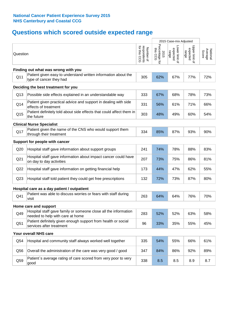# **Questions which scored outside expected range**

|                 |                                                                                                     |                                          |                                       | 2015 Case-mix Adjusted              |                                     |                              |
|-----------------|-----------------------------------------------------------------------------------------------------|------------------------------------------|---------------------------------------|-------------------------------------|-------------------------------------|------------------------------|
| Question        |                                                                                                     | respondents<br>for this CCG<br>Number of | Percentage for<br>this<br>2015<br>500 | Lower limit of<br>expected<br>range | Upper limit of<br>expected<br>range | Average<br>National<br>Score |
|                 | Finding out what was wrong with you                                                                 |                                          |                                       |                                     |                                     |                              |
| Q11             | Patient given easy to understand written information about the<br>type of cancer they had           | 305                                      | 62%                                   | 67%                                 | 77%                                 | 72%                          |
|                 | Deciding the best treatment for you                                                                 |                                          |                                       |                                     |                                     |                              |
| Q13             | Possible side effects explained in an understandable way                                            | 333                                      | 67%                                   | 68%                                 | 78%                                 | 73%                          |
| Q14             | Patient given practical advice and support in dealing with side<br>effects of treatment             | 331                                      | 56%                                   | 61%                                 | 71%                                 | 66%                          |
| Q <sub>15</sub> | Patient definitely told about side effects that could affect them in<br>the future                  | 303                                      | 48%                                   | 49%                                 | 60%                                 | 54%                          |
|                 | <b>Clinical Nurse Specialist</b>                                                                    |                                          |                                       |                                     |                                     |                              |
| Q17             | Patient given the name of the CNS who would support them<br>through their treatment                 | 334                                      | 85%                                   | 87%                                 | 93%                                 | 90%                          |
|                 | Support for people with cancer                                                                      |                                          |                                       |                                     |                                     |                              |
| Q20             | Hospital staff gave information about support groups                                                | 241                                      | 74%                                   | 78%                                 | 88%                                 | 83%                          |
| Q <sub>21</sub> | Hospital staff gave information about impact cancer could have<br>on day to day activities          | 207                                      | 73%                                   | 75%                                 | 86%                                 | 81%                          |
| Q22             | Hospital staff gave information on getting financial help                                           | 173                                      | 44%                                   | 47%                                 | 62%                                 | 55%                          |
| Q <sub>23</sub> | Hospital staff told patient they could get free prescriptions                                       | 132                                      | 72%                                   | 73%                                 | 87%                                 | 80%                          |
|                 | Hospital care as a day patient / outpatient                                                         |                                          |                                       |                                     |                                     |                              |
| Q41             | Patient was able to discuss worries or fears with staff during<br>visit                             | 263                                      | 64%                                   | 64%                                 | 76%                                 | 70%                          |
|                 | Home care and support                                                                               |                                          |                                       |                                     |                                     |                              |
| Q49             | Hospital staff gave family or someone close all the information<br>needed to help with care at home | 283                                      | 52%                                   | 52%                                 | 63%                                 | 58%                          |
| Q51             | Patient definitely given enough support from health or social<br>services after treatment           | 96                                       | 33%                                   | 35%                                 | 55%                                 | 45%                          |
|                 | Your overall NHS care                                                                               |                                          |                                       |                                     |                                     |                              |
| Q54             | Hospital and community staff always worked well together                                            | 335                                      | 54%                                   | 55%                                 | 66%                                 | 61%                          |
| Q56             | Overall the administration of the care was very good / good                                         | 347                                      | 84%                                   | 86%                                 | 92%                                 | 89%                          |
| Q59             | Patient's average rating of care scored from very poor to very<br>good                              | 338                                      | 8.5                                   | 8.5                                 | 8.9                                 | 8.7                          |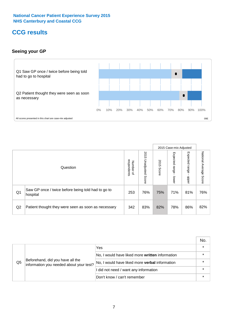## **CCG results**

## **Seeing your GP**



|    |                                                                |                                         |                             |               | 2015 Case-mix Adjusted     |                            |                           |
|----|----------------------------------------------------------------|-----------------------------------------|-----------------------------|---------------|----------------------------|----------------------------|---------------------------|
|    | Question                                                       | respondents<br>Number<br>$\overline{a}$ | 2015<br>Unadjusted<br>Score | 2015<br>Score | Expected<br>range<br>lower | Expected<br>range<br>dpper | National Average<br>Score |
| Q1 | Saw GP once / twice before being told had to go to<br>hospital | 253                                     | 76%                         | 75%           | 71%                        | 81%                        | 76%                       |
| Q2 | Patient thought they were seen as soon as necessary            | 342                                     | 83%                         | 82%           | 78%                        | 86%                        | 82%                       |

|    |                                                                             |                                                       | No.     |
|----|-----------------------------------------------------------------------------|-------------------------------------------------------|---------|
|    |                                                                             | Yes                                                   | $\star$ |
|    | Beforehand, did you have all the<br>information you needed about your test? | No, I would have liked more written information       | $\star$ |
| Q5 |                                                                             | No, I would have liked more <b>verbal</b> information | $\star$ |
|    |                                                                             | I did not need / want any information                 | $\star$ |
|    |                                                                             | Don't know / can't remember                           | $\star$ |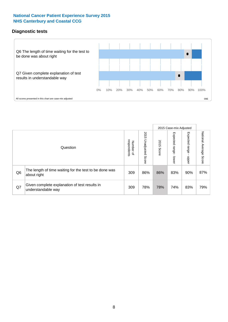### **Diagnostic tests**



|                |                                                                       |                                   |                             |               | 2015 Case-mix Adjusted      |                         |                           |
|----------------|-----------------------------------------------------------------------|-----------------------------------|-----------------------------|---------------|-----------------------------|-------------------------|---------------------------|
|                | Question                                                              | respondents<br>Number<br>$\Omega$ | 2015<br>Unadjusted<br>Score | 2015<br>Score | Expected<br>Irange<br>lower | Expected range<br>nbber | National Average<br>Score |
| Q <sub>6</sub> | The length of time waiting for the test to be done was<br>about right | 309                               | 86%                         | 86%           | 83%                         | 90%                     | 87%                       |
| Q7             | Given complete explanation of test results in<br>understandable way   | 309                               | 78%                         | 78%           | 74%                         | 83%                     | 79%                       |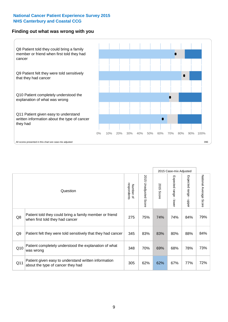#### **Finding out what was wrong with you**



|                |                                                                                            |                          |                             |               | 2015 Case-mix Adjusted                       |                                         |                        |
|----------------|--------------------------------------------------------------------------------------------|--------------------------|-----------------------------|---------------|----------------------------------------------|-----------------------------------------|------------------------|
|                | Question                                                                                   | respondents<br>Number of | 2015<br>Unadjusted<br>Score | 2015<br>Score | Expected<br>abuel<br>$\mathbf{r}$<br>- lower | Expected range<br>$\mathbf{r}$<br>nbber | National Average Score |
| Q8             | Patient told they could bring a family member or friend<br>when first told they had cancer | 275                      | 75%                         | 74%           | 74%                                          | 84%                                     | 79%                    |
| Q <sub>9</sub> | Patient felt they were told sensitively that they had cancer                               | 345                      | 83%                         | 83%           | 80%                                          | 88%                                     | 84%                    |
| Q10            | Patient completely understood the explanation of what<br>was wrong                         | 348                      | 70%                         | 69%           | 68%                                          | 78%                                     | 73%                    |
| Q11            | Patient given easy to understand written information<br>about the type of cancer they had  | 305                      | 62%                         | 62%           | 67%                                          | 77%                                     | 72%                    |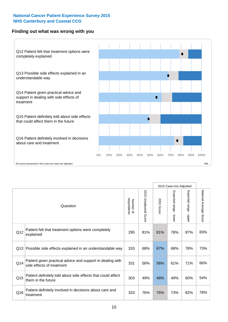### **Finding out what was wrong with you**



|     |                                                                                         |                          |                                 | 2015 Case-mix Adjusted |                                         |                           |                        |
|-----|-----------------------------------------------------------------------------------------|--------------------------|---------------------------------|------------------------|-----------------------------------------|---------------------------|------------------------|
|     | Question                                                                                | respondents<br>Number of | 2015<br><b>Unadjusted Score</b> | 2015<br>Score          | Expected range<br>$\mathbf{r}$<br>lower | Expected range<br>- nbbeu | National Average Score |
| Q12 | Patient felt that treatment options were completely<br>explained                        | 295                      | 81%                             | 81%                    | 78%                                     | 87%                       | 83%                    |
| Q13 | Possible side effects explained in an understandable way                                | 333                      | 68%                             | 67%                    | 68%                                     | 78%                       | 73%                    |
| Q14 | Patient given practical advice and support in dealing with<br>side effects of treatment | 331                      | 56%                             | 56%                    | 61%                                     | 71%                       | 66%                    |
| Q15 | Patient definitely told about side effects that could affect<br>them in the future      | 303                      | 49%                             | 48%                    | 49%                                     | 60%                       | 54%                    |
| Q16 | Patient definitely involved in decisions about care and<br>treatment                    | 333                      | 76%                             | 76%                    | 73%                                     | 82%                       | 78%                    |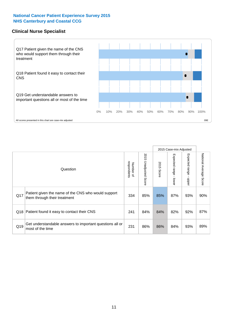### **Clinical Nurse Specialist**



|     |                                                                                     |                          |                       |               | 2015 Case-mix Adjusted  |                         |                        |
|-----|-------------------------------------------------------------------------------------|--------------------------|-----------------------|---------------|-------------------------|-------------------------|------------------------|
|     | Question                                                                            | respondents<br>Number of | 2015 Unadjusted Score | 2015<br>Score | Expected range<br>lower | Expected range<br>nbber | National Average Score |
| Q17 | Patient given the name of the CNS who would support<br>them through their treatment | 334                      | 85%                   | 85%           | 87%                     | 93%                     | 90%                    |
|     | Q18 Patient found it easy to contact their CNS                                      | 241                      | 84%                   | 84%           | 82%                     | 92%                     | 87%                    |
| Q19 | Get understandable answers to important questions all or<br>most of the time        | 231                      | 86%                   | 86%           | 84%                     | 93%                     | 89%                    |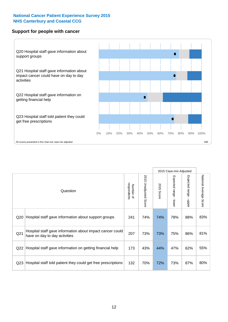#### **Support for people with cancer**



|                 |                                                                                            |                          |                             |               | 2015 Case-mix Adjusted  |                                           |                        |
|-----------------|--------------------------------------------------------------------------------------------|--------------------------|-----------------------------|---------------|-------------------------|-------------------------------------------|------------------------|
|                 | Question                                                                                   | respondents<br>Number of | 2015<br>Unadjusted<br>Score | 2015<br>Score | Expected range<br>lower | Expected range<br>$\blacksquare$<br>nbber | National Average Score |
| Q20             | Hospital staff gave information about support groups                                       | 241                      | 74%                         | 74%           | 78%                     | 88%                                       | 83%                    |
| Q <sub>21</sub> | Hospital staff gave information about impact cancer could<br>have on day to day activities | 207                      | 73%                         | 73%           | 75%                     | 86%                                       | 81%                    |
| Q22             | Hospital staff gave information on getting financial help                                  | 173                      | 43%                         | 44%           | 47%                     | 62%                                       | 55%                    |
| Q <sub>23</sub> | Hospital staff told patient they could get free prescriptions                              | 132                      | 70%                         | 72%           | 73%                     | 87%                                       | 80%                    |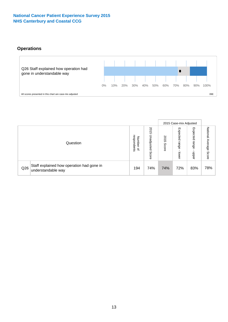## **Operations**



|     |                                                                 |                                              |                             |                   | 2015 Case-mix Adjusted     |                            |                              |
|-----|-----------------------------------------------------------------|----------------------------------------------|-----------------------------|-------------------|----------------------------|----------------------------|------------------------------|
|     | Question                                                        | respondents<br>Number<br>$\overline{\sigma}$ | 2015<br>Unadjusted<br>Score | 201<br>ຕ<br>Score | Expected<br>range<br>lower | Expected<br>range<br>doper | National<br>Average<br>Score |
| Q26 | Staff explained how operation had gone in<br>understandable way | 194                                          | 74%                         | 74%               | 72%                        | 83%                        | 78%                          |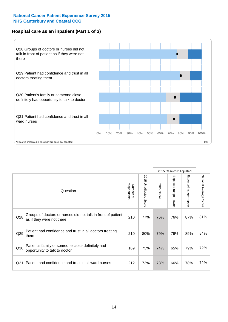## **Hospital care as an inpatient (Part 1 of 3)**



All scores presented in this chart are case-mix adjusted  $09E$ 

|                 |                                                                                           |                          |                       |                      | 2015 Case-mix Adjusted                    |                                           |                        |
|-----------------|-------------------------------------------------------------------------------------------|--------------------------|-----------------------|----------------------|-------------------------------------------|-------------------------------------------|------------------------|
|                 | Question                                                                                  | respondents<br>Number of | 2015 Unadjusted Score | 2015<br><b>Score</b> | Expected range<br>$\blacksquare$<br>lower | Expected range<br>$\blacksquare$<br>nbber | National Average Score |
| Q28             | Groups of doctors or nurses did not talk in front of patient<br>as if they were not there | 210                      | 77%                   | 76%                  | 76%                                       | 87%                                       | 81%                    |
| Q29             | Patient had confidence and trust in all doctors treating<br>them                          | 210                      | 80%                   | 79%                  | 79%                                       | 89%                                       | 84%                    |
| Q30             | Patient's family or someone close definitely had<br>opportunity to talk to doctor         | 169                      | 73%                   | 74%                  | 65%                                       | 79%                                       | 72%                    |
| Q <sub>31</sub> | Patient had confidence and trust in all ward nurses                                       | 212                      | 73%                   | 73%                  | 66%                                       | 78%                                       | 72%                    |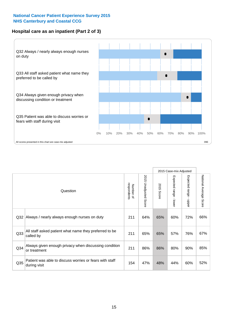## **Hospital care as an inpatient (Part 2 of 3)**



|                 |                                                                         |                          |                       |            | 2015 Case-mix Adjusted |                                           |                        |
|-----------------|-------------------------------------------------------------------------|--------------------------|-----------------------|------------|------------------------|-------------------------------------------|------------------------|
|                 | Question                                                                | respondents<br>Number of | 2015 Unadjusted Score | 2015 Score | Expected range - lower | Expected range<br>$\blacksquare$<br>nbber | National Average Score |
| Q <sub>32</sub> | Always / nearly always enough nurses on duty                            | 211                      | 64%                   | 65%        | 60%                    | 72%                                       | 66%                    |
| Q <sub>33</sub> | All staff asked patient what name they preferred to be<br>called by     | 211                      | 65%                   | 65%        | 57%                    | 76%                                       | 67%                    |
| Q34             | Always given enough privacy when discussing condition<br>or treatment   | 211                      | 86%                   | 86%        | 80%                    | 90%                                       | 85%                    |
| Q35             | Patient was able to discuss worries or fears with staff<br>during visit | 154                      | 47%                   | 48%        | 44%                    | 60%                                       | 52%                    |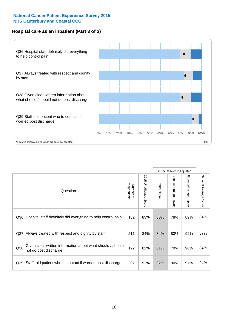## **Hospital care as an inpatient (Part 3 of 3)**



|                 |                                                                                     |                          |                                 |               | 2015 Case-mix Adjusted  |                                           |                        |
|-----------------|-------------------------------------------------------------------------------------|--------------------------|---------------------------------|---------------|-------------------------|-------------------------------------------|------------------------|
|                 | Question                                                                            | respondents<br>Number of | 2015<br><b>Unadjusted Score</b> | 2015<br>Score | Expected range<br>lower | Expected range<br>$\blacksquare$<br>nbber | National Average Score |
| Q36             | Hospital staff definitely did everything to help control pain                       | 182                      | 83%                             | 83%           | 78%                     | 89%                                       | 84%                    |
| Q <sub>37</sub> | Always treated with respect and dignity by staff                                    | 211                      | 84%                             | 84%           | 83%                     | 92%                                       | 87%                    |
| Q38             | Given clear written information about what should / should<br>not do post discharge | 192                      | 82%                             | 81%           | 79%                     | 90%                                       | 84%                    |
| Q39             | Staff told patient who to contact if worried post discharge                         | 202                      | 92%                             | 92%           | 90%                     | 97%                                       | 94%                    |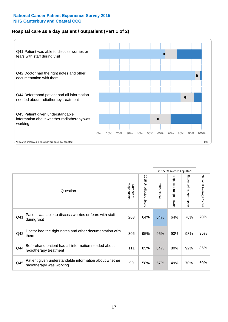## **Hospital care as a day patient / outpatient (Part 1 of 2)**



|     |                                                                                    |                          |                                 |                      | 2015 Case-mix Adjusted                    |                                         |                        |
|-----|------------------------------------------------------------------------------------|--------------------------|---------------------------------|----------------------|-------------------------------------------|-----------------------------------------|------------------------|
|     | Question                                                                           | respondents<br>Number of | 2015<br><b>Unadjusted Score</b> | 2015<br><b>Score</b> | Expected range<br>$\blacksquare$<br>lower | Expected range<br>$\mathbf{I}$<br>nbber | National Average Score |
| Q41 | Patient was able to discuss worries or fears with staff<br>during visit            | 263                      | 64%                             | 64%                  | 64%                                       | 76%                                     | 70%                    |
| Q42 | Doctor had the right notes and other documentation with<br>them                    | 306                      | 95%                             | 95%                  | 93%                                       | 98%                                     | 96%                    |
| Q44 | Beforehand patient had all information needed about<br>radiotherapy treatment      | 111                      | 85%                             | 84%                  | 80%                                       | 92%                                     | 86%                    |
| Q45 | Patient given understandable information about whether<br>radiotherapy was working | 90                       | 58%                             | 57%                  | 49%                                       | 70%                                     | 60%                    |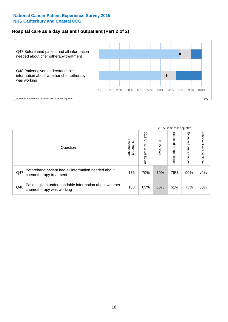## **Hospital care as a day patient / outpatient (Part 2 of 2)**



|     |                                                                                    |                             |                             |               | 2015 Case-mix Adjusted            |                         |                           |
|-----|------------------------------------------------------------------------------------|-----------------------------|-----------------------------|---------------|-----------------------------------|-------------------------|---------------------------|
|     | Question                                                                           | respondents<br>Number<br>டி | 2015<br>Unadjusted<br>Score | 2015<br>Score | Expected<br><b>Lange</b><br>lower | Expected range<br>doper | National Average<br>Score |
| Q47 | Beforehand patient had all information needed about<br>chemotherapy treatment      | 176                         | 79%                         | 79%           | 79%                               | 90%                     | 84%                       |
| Q48 | Patient given understandable information about whether<br>chemotherapy was working | 163                         | 65%                         | 66%           | 61%                               | 75%                     | 68%                       |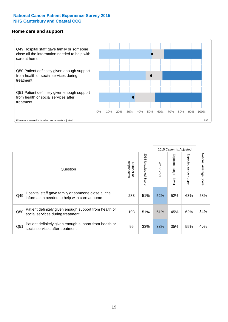#### **Home care and support**



2015 Case-mix Adjusted 2015 Unadjusted Score Expected range - upper National Average Score 2015 Unadjusted Score Expected range - lower National Average Score Expected range - lower Expected range - upper Number of<br>respondents respondents 2015 Score 2015 Score Number of Question Hospital staff gave family or someone close all the  $Q49$  information needed to help with care at home  $283$  51%  $52\%$  52% 63% 58% Patient definitely given enough support from health or  $\frac{1}{250}$  social services during treatment  $\frac{1}{250}$   $\frac{193}{51\%}$  51% 51% 45% 62% 54% Patient definitely given enough support from health or Q51 social services after treatment<br>
Q51 social services after treatment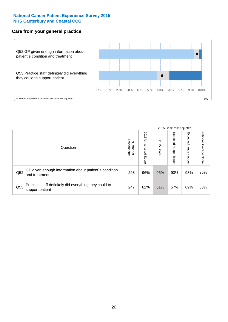#### **Care from your general practice**



|     |                                                                           |                                    |                          |               |                                    | 2015 Case-mix Adjusted  |                           |
|-----|---------------------------------------------------------------------------|------------------------------------|--------------------------|---------------|------------------------------------|-------------------------|---------------------------|
|     | Question                                                                  | Number of<br>respondents<br>Number | 2015<br>Unadjusted Score | 2015<br>Score | Expected<br><b>Irange</b><br>lower | Expected range<br>doper | National Average<br>Score |
| Q52 | GP given enough information about patient's condition<br>and treatment    | 298                                | 96%                      | 95%           | 93%                                | 98%                     | 95%                       |
| Q53 | Practice staff definitely did everything they could to<br>support patient | 247                                | 62%                      | 61%           | 57%                                | 69%                     | 63%                       |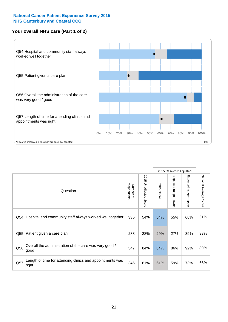## **Your overall NHS care (Part 1 of 2)**



|     |                                                                    |                          |                          |                      | 2015 Case-mix Adjusted                    |                                           |                        |
|-----|--------------------------------------------------------------------|--------------------------|--------------------------|----------------------|-------------------------------------------|-------------------------------------------|------------------------|
|     | Question                                                           | respondents<br>Number of | 2015<br>Unadjusted Score | 2015<br><b>Score</b> | Expected range<br>$\blacksquare$<br>lower | Expected range<br>$\blacksquare$<br>nbber | National Average Score |
| Q54 | Hospital and community staff always worked well together           | 335                      | 54%                      | 54%                  | 55%                                       | 66%                                       | 61%                    |
| Q55 | Patient given a care plan                                          | 288                      | 28%                      | 29%                  | 27%                                       | 39%                                       | 33%                    |
| Q56 | Overall the administration of the care was very good /<br>good     | 347                      | 84%                      | 84%                  | 86%                                       | 92%                                       | 89%                    |
| Q57 | Length of time for attending clinics and appointments was<br>right | 346                      | 61%                      | 61%                  | 59%                                       | 73%                                       | 66%                    |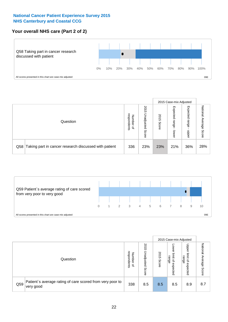## **Your overall NHS care (Part 2 of 2)**



|     |                                                       |                                              |                             |               |                            | 2015 Case-mix Adjusted     |                        |
|-----|-------------------------------------------------------|----------------------------------------------|-----------------------------|---------------|----------------------------|----------------------------|------------------------|
|     | Question                                              | respondents<br>Number<br>$\overline{\sigma}$ | 2015<br>Unadjusted<br>Score | 2015<br>Score | Expected<br>range<br>lower | Expected<br>range<br>doper | National Average Score |
| Q58 | Taking part in cancer research discussed with patient | 336                                          | 23%                         | 23%           | 21%                        | 36%                        | 28%                    |



|     |                                                                        |                                              |                             |               |                                                           | 2015 Case-mix Adjusted                   |                              |
|-----|------------------------------------------------------------------------|----------------------------------------------|-----------------------------|---------------|-----------------------------------------------------------|------------------------------------------|------------------------------|
|     | Question                                                               | respondents<br>Number<br>$\overline{\sigma}$ | 2015<br>Jnadjusted<br>Score | 2015<br>Score | OWer<br>limit<br>range<br>$\overline{\sigma}$<br>expected | Upper<br>limit<br>range<br>õ<br>expected | National<br>Average<br>Score |
| Q59 | Patient's average rating of care scored from very poor to<br>very good | 338                                          | 8.5                         | 8.5           | 8.5                                                       | 8.9                                      | 8.7                          |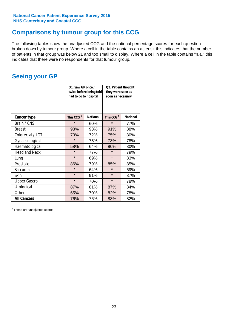## **Comparisons by tumour group for this CCG**

The following tables show the unadjusted CCG and the national percentage scores for each question broken down by tumour group. Where a cell in the table contains an asterisk this indicates that the number of patients in that group was below 21 and too small to display. Where a cell in the table contains "n.a." this indicates that there were no respondents for that tumour group.

## **Seeing your GP**

|                      | Q1. Saw GP once /<br>had to go to hospital | twice before being told | Q2. Patient thought<br>they were seen as<br>soon as necessary |                 |  |
|----------------------|--------------------------------------------|-------------------------|---------------------------------------------------------------|-----------------|--|
| <b>Cancer type</b>   | This CCG <sup>\$</sup>                     | <b>National</b>         | This CCG <sup>\$</sup>                                        | <b>National</b> |  |
| Brain / CNS          | $\star$                                    | 60%                     | $\star$                                                       | 77%             |  |
| <b>Breast</b>        | 93%                                        | 93%                     | 91%                                                           | 88%             |  |
| Colorectal / LGT     | 70%                                        | 72%                     | 75%                                                           | 80%             |  |
| Gynaecological       | $\star$                                    | 75%                     | 73%                                                           | 78%             |  |
| Haematological       | 58%                                        | 64%                     | 80%                                                           | 80%             |  |
| <b>Head and Neck</b> | $\star$                                    | 77%                     | $\star$                                                       | 79%             |  |
| Lung                 | $\star$                                    | 69%                     | $\star$                                                       | 83%             |  |
| Prostate             | 86%                                        | 79%                     | 85%                                                           | 85%             |  |
| Sarcoma              | $\star$                                    | 64%                     | $\star$                                                       | 69%             |  |
| Skin                 | $\star$                                    | 91%                     | $\star$                                                       | 87%             |  |
| <b>Upper Gastro</b>  | $\star$                                    | 70%                     | $\star$                                                       | 78%             |  |
| Urological           | 87%                                        | 81%                     | 87%                                                           | 84%             |  |
| Other                | 65%                                        | 70%                     | 82%                                                           | 78%             |  |
| <b>All Cancers</b>   | 76%                                        | 76%                     | 83%                                                           | 82%             |  |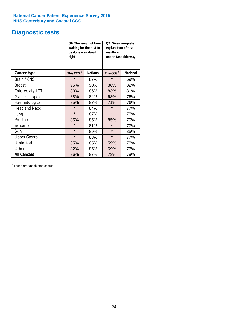## **Diagnostic tests**

|                      | be done was about<br>right | Q6. The length of time<br>waiting for the test to | Q7. Given complete<br>explanation of test<br>results in<br>understandable way |                 |  |  |
|----------------------|----------------------------|---------------------------------------------------|-------------------------------------------------------------------------------|-----------------|--|--|
| <b>Cancer type</b>   | This CCG <sup>\$</sup>     | <b>National</b>                                   | This CCG <sup>\$</sup>                                                        | <b>National</b> |  |  |
| Brain / CNS          | $\star$                    | 87%                                               | $\star$                                                                       | 69%             |  |  |
| <b>Breast</b>        | 95%                        | 90%                                               | 88%                                                                           | 82%             |  |  |
| Colorectal / LGT     | 80%                        | 86%                                               | 83%                                                                           | 81%             |  |  |
| Gynaecological       | 88%                        | 84%                                               | 68%                                                                           | 76%             |  |  |
| Haematological       | 85%                        | 87%                                               | 71%                                                                           | 76%             |  |  |
| <b>Head and Neck</b> | $\star$                    | 84%                                               | $\star$                                                                       | 77%             |  |  |
| Lung                 | $\star$                    | 87%                                               | $\star$                                                                       | 78%             |  |  |
| Prostate             | 85%                        | 85%                                               | 85%                                                                           | 79%             |  |  |
| Sarcoma              | $\star$                    | 81%                                               | $\star$                                                                       | 77%             |  |  |
| Skin                 | $\star$                    | 89%                                               | $\star$                                                                       | 85%             |  |  |
| <b>Upper Gastro</b>  | $\star$                    | 83%                                               | $\star$                                                                       | 77%             |  |  |
| Urological           | 85%                        | 85%                                               | 59%                                                                           | 78%             |  |  |
| Other                | 82%                        | 85%                                               | 69%                                                                           | 76%             |  |  |
| <b>All Cancers</b>   | 86%                        | 87%                                               | 78%                                                                           | 79%             |  |  |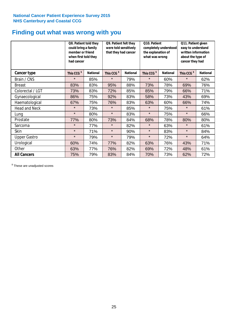## **Finding out what was wrong with you**

|                      | Q8. Patient told they<br>could bring a family<br>member or friend<br>when first told they<br>had cancer |                 | Q9. Patient felt they<br>were told sensitively<br>that they had cancer |                 | Q10. Patient<br>completely understood<br>the explanation of<br>what was wrong |                 | Q11. Patient given<br>easy to understand<br>written information<br>about the type of<br>cancer they had |                 |
|----------------------|---------------------------------------------------------------------------------------------------------|-----------------|------------------------------------------------------------------------|-----------------|-------------------------------------------------------------------------------|-----------------|---------------------------------------------------------------------------------------------------------|-----------------|
| Cancer type          | This CCG <sup>\$</sup>                                                                                  | <b>National</b> | This CCG <sup>\$</sup>                                                 | <b>National</b> | This CCG <sup>\$</sup>                                                        | <b>National</b> | This CCG <sup>\$</sup>                                                                                  | <b>National</b> |
| Brain / CNS          | $\star$                                                                                                 | 85%             | $\star$                                                                | 79%             | $\star$                                                                       | 60%             | $\star$                                                                                                 | 62%             |
| <b>Breast</b>        | 83%                                                                                                     | 83%             | 95%                                                                    | 88%             | 73%                                                                           | 78%             | 69%                                                                                                     | 76%             |
| Colorectal / LGT     | 73%                                                                                                     | 83%             | 72%                                                                    | 85%             | 85%                                                                           | 79%             | 66%                                                                                                     | 71%             |
| Gynaecological       | 86%                                                                                                     | 75%             | 92%                                                                    | 83%             | 58%                                                                           | 73%             | 43%                                                                                                     | 69%             |
| Haematological       | 67%                                                                                                     | 75%             | 76%                                                                    | 83%             | 63%                                                                           | 60%             | 66%                                                                                                     | 74%             |
| <b>Head and Neck</b> | $\star$                                                                                                 | 73%             | $\star$                                                                | 85%             | $\star$                                                                       | 75%             | $\star$                                                                                                 | 61%             |
| Lung                 | $\star$                                                                                                 | 80%             | $\star$                                                                | 83%             | $\star$                                                                       | 75%             | $\star$                                                                                                 | 66%             |
| Prostate             | 77%                                                                                                     | 80%             | 73%                                                                    | 84%             | 68%                                                                           | 78%             | 80%                                                                                                     | 80%             |
| Sarcoma              | $\star$                                                                                                 | 77%             | $\star$                                                                | 82%             | $\star$                                                                       | 63%             | $\star$                                                                                                 | 61%             |
| Skin                 | $\star$                                                                                                 | 71%             | $\star$                                                                | 90%             | $\star$                                                                       | 83%             | $\star$                                                                                                 | 84%             |
| <b>Upper Gastro</b>  | $\star$                                                                                                 | 79%             | $\star$                                                                | 79%             | $\star$                                                                       | 72%             | $\star$                                                                                                 | 64%             |
| Urological           | 60%                                                                                                     | 74%             | 77%                                                                    | 82%             | 63%                                                                           | 76%             | 43%                                                                                                     | 71%             |
| Other                | 63%                                                                                                     | 77%             | 76%                                                                    | 82%             | 69%                                                                           | 72%             | 48%                                                                                                     | 61%             |
| <b>All Cancers</b>   | 75%                                                                                                     | 79%             | 83%                                                                    | 84%             | 70%                                                                           | 73%             | 62%                                                                                                     | 72%             |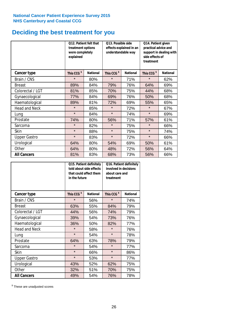## **Deciding the best treatment for you**

|                      | Q12. Patient felt that<br>treatment options<br>were completely<br>explained |                 | Q13. Possible side<br>understandable way | effects explained in an | Q14. Patient given<br>practical advice and<br>support in dealing with<br>side effects of<br>treatment |                 |  |
|----------------------|-----------------------------------------------------------------------------|-----------------|------------------------------------------|-------------------------|-------------------------------------------------------------------------------------------------------|-----------------|--|
| <b>Cancer type</b>   | This CCG <sup>\$</sup>                                                      | <b>National</b> | This CCG <sup>\$</sup>                   | <b>National</b>         | This CCG <sup>\$</sup>                                                                                | <b>National</b> |  |
| Brain / CNS          | $\star$                                                                     | 80%             | $\star$                                  | 71%                     | $\star$                                                                                               | 62%             |  |
| <b>Breast</b>        | 89%                                                                         | 84%             | 79%                                      | 76%                     | 64%                                                                                                   | 69%             |  |
| Colorectal / LGT     | 81%                                                                         | 85%             | 70%                                      | 75%                     | 44%                                                                                                   | 68%             |  |
| Gynaecological       | 77%                                                                         | 84%             | 69%                                      | 76%                     | 50%                                                                                                   | 68%             |  |
| Haematological       | 89%                                                                         | 81%             | 72%                                      | 69%                     | 55%                                                                                                   | 65%             |  |
| <b>Head and Neck</b> | $\star$                                                                     | 85%             | $\star$                                  | 72%                     | $\star$                                                                                               | 67%             |  |
| Lung                 | $\star$                                                                     | 84%             | $\star$                                  | 74%                     | $\star$                                                                                               | 69%             |  |
| Prostate             | 74%                                                                         | 80%             | 56%                                      | 71%                     | 57%                                                                                                   | 61%             |  |
| Sarcoma              | $\star$                                                                     | 82%             | $\star$                                  | 75%                     | $\star$                                                                                               | 66%             |  |
| Skin                 | $\star$                                                                     | 88%             | $\star$                                  | 75%                     | $\star$                                                                                               | 74%             |  |
| <b>Upper Gastro</b>  | $\star$                                                                     | 83%             | $\star$                                  | 72%                     | $\star$                                                                                               | 66%             |  |
| Urological           | 64%                                                                         | 80%             | 54%                                      | 69%                     | 50%                                                                                                   | 61%             |  |
| Other                | 64%                                                                         | 80%             | 48%                                      | 72%                     | 56%                                                                                                   | 64%             |  |
| <b>All Cancers</b>   | 81%                                                                         | 83%             | 68%                                      | 73%                     | 56%                                                                                                   | 66%             |  |

|                      | in the future          | Q15. Patient definitely<br>told about side effects<br>that could affect them | Q16. Patient definitely<br>involved in decisions<br>about care and<br>treatment |                 |  |
|----------------------|------------------------|------------------------------------------------------------------------------|---------------------------------------------------------------------------------|-----------------|--|
| <b>Cancer type</b>   | This CCG <sup>\$</sup> | <b>National</b>                                                              | This CCG <sup>\$</sup>                                                          | <b>National</b> |  |
| Brain / CNS          | $\star$                | 56%                                                                          | $\star$                                                                         | 74%             |  |
| <b>Breast</b>        | 63%                    | 55%                                                                          | 84%                                                                             | 79%             |  |
| Colorectal / LGT     | 44%                    | 56%                                                                          | 74%                                                                             | 79%             |  |
| Gynaecological       | 39%                    | 54%                                                                          | 73%                                                                             | 76%             |  |
| Haematological       | 36%                    | 50%                                                                          | 82%                                                                             | 77%             |  |
| <b>Head and Neck</b> | $\star$                | 58%                                                                          | $\star$                                                                         | 76%             |  |
| Lung                 | $\star$                | 54%                                                                          | $\star$                                                                         | 78%             |  |
| Prostate             | 64%                    | 63%                                                                          | 78%                                                                             | 79%             |  |
| Sarcoma              | $\star$                | 54%                                                                          | $\star$                                                                         | 77%             |  |
| <b>Skin</b>          | $\star$                | 66%                                                                          | $\star$                                                                         | 86%             |  |
| <b>Upper Gastro</b>  | $\star$                | 53%                                                                          | $\star$                                                                         | 77%             |  |
| Urological           | 43%                    | 52%                                                                          | 62%                                                                             | 75%             |  |
| Other                | 32%                    | 51%                                                                          | 70%                                                                             | 75%             |  |
| <b>All Cancers</b>   | 49%                    | 54%                                                                          | 76%                                                                             | 78%             |  |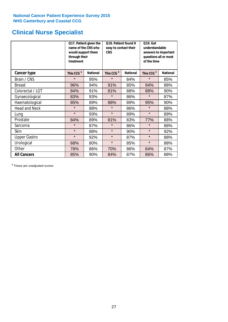## **Clinical Nurse Specialist**

|                      | would support them<br>through their<br>treatment | Q17. Patient given the<br>name of the CNS who | Q18. Patient found it<br>easy to contact their<br><b>CNS</b> |                 | <b>Q19. Get</b><br>understandable<br>answers to important<br>questions all or most<br>of the time |                 |  |
|----------------------|--------------------------------------------------|-----------------------------------------------|--------------------------------------------------------------|-----------------|---------------------------------------------------------------------------------------------------|-----------------|--|
| <b>Cancer type</b>   | This CCG <sup>\$</sup>                           | <b>National</b>                               | This CCG <sup>\$</sup>                                       | <b>National</b> | This CCG <sup>\$</sup>                                                                            | <b>National</b> |  |
| Brain / CNS          | $\star$                                          | 95%                                           | $\star$                                                      | 84%             | $\star$                                                                                           | 85%             |  |
| <b>Breast</b>        | 96%                                              | 94%                                           | 91%                                                          | 85%             | 94%                                                                                               | 88%             |  |
| Colorectal / LGT     | 84%                                              | 91%                                           | 81%                                                          | 88%             | 88%                                                                                               | 90%             |  |
| Gynaecological       | 83%                                              | 93%                                           | $\star$                                                      | 86%             | $\star$                                                                                           | 87%             |  |
| Haematological       | 85%                                              | 89%                                           | 88%                                                          | 89%             | 95%                                                                                               | 90%             |  |
| <b>Head and Neck</b> | $\star$                                          | 88%                                           | $\star$                                                      | 86%             | $\star$                                                                                           | 88%             |  |
| Lung                 | $\star$                                          | 93%                                           | $\star$                                                      | 89%             | $\star$                                                                                           | 89%             |  |
| Prostate             | 84%                                              | 89%                                           | 81%                                                          | 83%             | 77%                                                                                               | 88%             |  |
| Sarcoma              | $\star$                                          | 87%                                           | $\star$                                                      | 86%             | $\star$                                                                                           | 88%             |  |
| Skin                 | $\star$                                          | 88%                                           | $\star$                                                      | 90%             | $\star$                                                                                           | 92%             |  |
| <b>Upper Gastro</b>  | $\star$                                          | 92%                                           | $\star$                                                      | 87%             | $\star$                                                                                           | 88%             |  |
| Urological           | 68%                                              | 80%                                           | $\star$                                                      | 85%             | $\star$                                                                                           | 88%             |  |
| Other                | 78%                                              | 86%                                           | 70%                                                          | 86%             | 64%                                                                                               | 87%             |  |
| <b>All Cancers</b>   | 85%                                              | 90%                                           | 84%                                                          | 87%             | 86%                                                                                               | 88%             |  |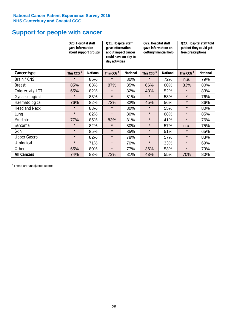## **Support for people with cancer**

|                      | Q20. Hospital staff<br>gave information | about support groups | Q21. Hospital staff<br>gave information<br>about impact cancer<br>could have on day to<br>day activities |                 | Q22. Hospital staff<br>gave information on<br>getting financial help |                 | Q23. Hospital staff told<br>patient they could get<br>free prescriptions |                 |
|----------------------|-----------------------------------------|----------------------|----------------------------------------------------------------------------------------------------------|-----------------|----------------------------------------------------------------------|-----------------|--------------------------------------------------------------------------|-----------------|
| Cancer type          | This CCG <sup>\$</sup>                  | <b>National</b>      | This CCG <sup>\$</sup>                                                                                   | <b>National</b> | This CCG <sup>\$</sup>                                               | <b>National</b> | This CCG <sup>\$</sup>                                                   | <b>National</b> |
| Brain / CNS          | $\star$                                 | 85%                  | $\star$                                                                                                  | 80%             | $\star$                                                              | 72%             | n.a.                                                                     | 79%             |
| <b>Breast</b>        | 85%                                     | 88%                  | 87%                                                                                                      | 85%             | 66%                                                                  | 60%             | 83%                                                                      | 80%             |
| Colorectal / LGT     | 65%                                     | 82%                  | $\star$                                                                                                  | 82%             | 43%                                                                  | 52%             | $\star$                                                                  | 83%             |
| Gynaecological       | $\star$                                 | 83%                  | $\star$                                                                                                  | 81%             | $\star$                                                              | 58%             | $\star$                                                                  | 76%             |
| Haematological       | 76%                                     | 82%                  | 73%                                                                                                      | 82%             | 45%                                                                  | 56%             | $\star$                                                                  | 86%             |
| <b>Head and Neck</b> | $\star$                                 | 83%                  | $\star$                                                                                                  | 80%             | $\star$                                                              | 55%             | $\star$                                                                  | 80%             |
| Lung                 | $\star$                                 | 82%                  | $\star$                                                                                                  | 80%             | $\star$                                                              | 68%             | $\star$                                                                  | 85%             |
| Prostate             | 77%                                     | 85%                  | 83%                                                                                                      | 81%             | $\star$                                                              | 41%             | $\star$                                                                  | 76%             |
| Sarcoma              | $\star$                                 | 82%                  | $\star$                                                                                                  | 80%             | $\star$                                                              | 57%             | n.a.                                                                     | 75%             |
| Skin                 | $\star$                                 | 85%                  | $\star$                                                                                                  | 85%             | $\star$                                                              | 51%             | $\star$                                                                  | 65%             |
| <b>Upper Gastro</b>  | $\star$                                 | 82%                  | $\star$                                                                                                  | 78%             | $\star$                                                              | 57%             | $\star$                                                                  | 83%             |
| Urological           | $\star$                                 | 71%                  | $\star$                                                                                                  | 70%             | $\star$                                                              | 33%             | $\star$                                                                  | 69%             |
| Other                | 65%                                     | 80%                  | $\star$                                                                                                  | 77%             | 36%                                                                  | 53%             | $\star$                                                                  | 79%             |
| <b>All Cancers</b>   | 74%                                     | 83%                  | 73%                                                                                                      | 81%             | 43%                                                                  | 55%             | 70%                                                                      | 80%             |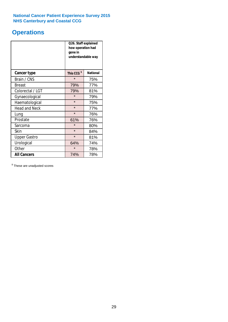## **Operations**

|                      | Q26. Staff explained<br>how operation had<br>gone in<br>understandable way |                 |  |  |  |
|----------------------|----------------------------------------------------------------------------|-----------------|--|--|--|
| <b>Cancer type</b>   | This CCG <sup>\$</sup>                                                     | <b>National</b> |  |  |  |
| Brain / CNS          | $\star$                                                                    | 75%             |  |  |  |
| <b>Breast</b>        | 79%                                                                        | 77%             |  |  |  |
| Colorectal / LGT     | 79%                                                                        | 81%             |  |  |  |
| Gynaecological       | $\star$                                                                    | 79%             |  |  |  |
| Haematological       | $\star$                                                                    | 75%             |  |  |  |
| <b>Head and Neck</b> | $\star$                                                                    | 77%             |  |  |  |
| Lung                 | $\star$                                                                    | 76%             |  |  |  |
| Prostate             | 61%                                                                        | 76%             |  |  |  |
| Sarcoma              | $\star$                                                                    | 80%             |  |  |  |
| Skin                 | $\star$                                                                    | 84%             |  |  |  |
| <b>Upper Gastro</b>  | $\star$                                                                    | 81%             |  |  |  |
| Urological           | 64%                                                                        | 74%             |  |  |  |
| Other                | $\star$<br>78%                                                             |                 |  |  |  |
| <b>All Cancers</b>   | 74%                                                                        | 78%             |  |  |  |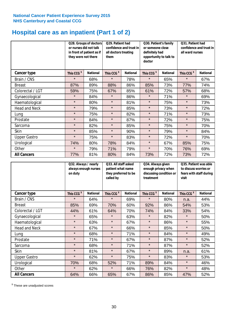## **Hospital care as an inpatient (Part 1 of 2)**

|                      | or nurses did not talk<br>they were not there | Q28. Groups of doctors<br>in front of patient as if | Q29. Patient had<br>confidence and trust in<br>all doctors treating<br>them |                 | Q30. Patient's family<br>or someone close<br>definitely had<br>opportunity to talk to<br>doctor |                 | Q31. Patient had<br>confidence and trust in I<br>all ward nurses |                 |
|----------------------|-----------------------------------------------|-----------------------------------------------------|-----------------------------------------------------------------------------|-----------------|-------------------------------------------------------------------------------------------------|-----------------|------------------------------------------------------------------|-----------------|
| Cancer type          | This CCG <sup>\$</sup>                        | <b>National</b>                                     | This CCG <sup>\$</sup>                                                      | <b>National</b> | This CCG <sup>\$</sup>                                                                          | <b>National</b> | This CCG <sup>\$</sup>                                           | <b>National</b> |
| Brain / CNS          | $\star$                                       | 68%                                                 | $\star$                                                                     | 78%             | $\star$                                                                                         | 65%             | $\star$                                                          | 67%             |
| <b>Breast</b>        | 87%                                           | 89%                                                 | 88%                                                                         | 86%             | 85%                                                                                             | 73%             | 77%                                                              | 74%             |
| Colorectal / LGT     | 59%                                           | 75%                                                 | 67%                                                                         | 85%             | 61%                                                                                             | 72%             | 57%                                                              | 68%             |
| Gynaecological       | $\star$                                       | 84%                                                 | $\star$                                                                     | 86%             | $\star$                                                                                         | 71%             | $\star$                                                          | 69%             |
| Haematological       | $\star$                                       | 80%                                                 | $\star$                                                                     | 81%             | $\star$                                                                                         | 75%             | $\star$                                                          | 73%             |
| <b>Head and Neck</b> | $\star$                                       | 79%                                                 | $\star$                                                                     | 85%             | $\star$                                                                                         | 73%             | $\star$                                                          | 72%             |
| Lung                 | $\star$                                       | 75%                                                 | $\star$                                                                     | 82%             | $\star$                                                                                         | 71%             | $\star$                                                          | 73%             |
| Prostate             | $\star$                                       | 84%                                                 | $\star$                                                                     | 87%             | $\star$                                                                                         | 72%             | $\star$                                                          | 75%             |
| Sarcoma              | $\star$                                       | 82%                                                 | $\star$                                                                     | 85%             | $\star$                                                                                         | 75%             | $\star$                                                          | 70%             |
| Skin                 | $\star$                                       | 85%                                                 | $\star$                                                                     | 90%             | $\star$                                                                                         | 79%             | $\star$                                                          | 84%             |
| <b>Upper Gastro</b>  | $\star$                                       | 75%                                                 | $\star$                                                                     | 83%             | $\star$                                                                                         | 72%             | $\star$                                                          | 70%             |
| Urological           | 74%                                           | 80%                                                 | 78%                                                                         | 84%             | $\star$                                                                                         | 67%             | 85%                                                              | 75%             |
| Other                | $\star$                                       | 79%                                                 | 71%                                                                         | 79%             | $\star$                                                                                         | 70%             | 76%                                                              | 69%             |
| <b>All Cancers</b>   | 77%                                           | 81%                                                 | 80%                                                                         | 84%             | 73%                                                                                             | 72%             | 73%                                                              | 72%             |

|                      | on duty                | Q32. Always / nearly<br>always enough nurses |                        | Q33. All staff asked<br>patient what name<br>they preferred to be<br>called by |                        | Q34. Always given<br>enough privacy when<br>discussing condition or<br>treatment |                        | Q35. Patient was able<br>to discuss worries or<br>fears with staff during<br>visit |  |
|----------------------|------------------------|----------------------------------------------|------------------------|--------------------------------------------------------------------------------|------------------------|----------------------------------------------------------------------------------|------------------------|------------------------------------------------------------------------------------|--|
| <b>Cancer type</b>   | This CCG <sup>\$</sup> | <b>National</b>                              | This CCG <sup>\$</sup> | <b>National</b>                                                                | This CCG <sup>\$</sup> | <b>National</b>                                                                  | This CCG <sup>\$</sup> | <b>National</b>                                                                    |  |
| Brain / CNS          | $\star$                | 64%                                          | $\star$                | 69%                                                                            | $\star$                | 80%                                                                              | n.a.                   | 44%                                                                                |  |
| <b>Breast</b>        | 85%                    | 69%                                          | 70%                    | 60%                                                                            | 92%                    | 86%                                                                              | 54%                    | 53%                                                                                |  |
| Colorectal / LGT     | 44%                    | 61%                                          | 64%                    | 70%                                                                            | 74%                    | 84%                                                                              | 33%                    | 54%                                                                                |  |
| Gynaecological       | $\star$                | 65%                                          | $\star$                | 63%                                                                            | $\star$                | 82%                                                                              | $\star$                | 50%                                                                                |  |
| Haematological       | $\star$                | 63%                                          | $\star$                | 67%                                                                            | $\star$                | 86%                                                                              | $\star$                | 55%                                                                                |  |
| <b>Head and Neck</b> | $\star$                | 67%                                          | $\star$                | 66%                                                                            | $\star$                | 85%                                                                              | $\star$                | 50%                                                                                |  |
| Lung                 | $\star$                | 68%                                          | $\star$                | 71%                                                                            | $\star$                | 84%                                                                              | $\star$                | 49%                                                                                |  |
| Prostate             | $\star$                | 71%                                          | $\star$                | 67%                                                                            | $\star$                | 87%                                                                              | $\star$                | 52%                                                                                |  |
| Sarcoma              | $\star$                | 68%                                          | $\star$                | 71%                                                                            | $\star$                | 87%                                                                              | $\star$                | 52%                                                                                |  |
| Skin                 | $\star$                | 81%                                          | $\star$                | 67%                                                                            | $\star$                | 89%                                                                              | n.a.                   | 61%                                                                                |  |
| <b>Upper Gastro</b>  | $\star$                | 62%                                          | $\star$                | 75%                                                                            | $\star$                | 83%                                                                              | $\star$                | 53%                                                                                |  |
| Urological           | 70%                    | 68%                                          | 52%                    | 71%                                                                            | 89%                    | 84%                                                                              | $\star$                | 46%                                                                                |  |
| Other                | $\star$                | 62%                                          | $\star$                | 66%                                                                            | 76%                    | 82%                                                                              | $\star$                | 48%                                                                                |  |
| <b>All Cancers</b>   | 64%                    | 66%                                          | 65%                    | 67%                                                                            | 86%                    | 85%                                                                              | 47%                    | 52%                                                                                |  |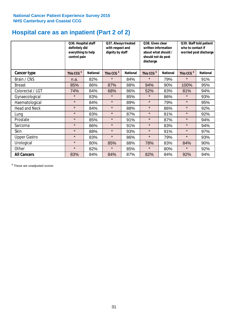## **Hospital care as an inpatient (Part 2 of 2)**

|                      | Q36. Hospital staff<br>definitely did<br>everything to help<br>control pain |                 | Q37. Always treated<br>with respect and<br>dignity by staff |                 | Q38. Given clear<br>written information<br>about what should /<br>should not do post<br>discharge |                 | Q39. Staff told patient<br>who to contact if<br>worried post discharge |                 |
|----------------------|-----------------------------------------------------------------------------|-----------------|-------------------------------------------------------------|-----------------|---------------------------------------------------------------------------------------------------|-----------------|------------------------------------------------------------------------|-----------------|
| Cancer type          | This CCG <sup>\$</sup>                                                      | <b>National</b> | This CCG <sup>\$</sup>                                      | <b>National</b> | This CCG <sup>\$</sup>                                                                            | <b>National</b> | This CCG <sup>\$</sup>                                                 | <b>National</b> |
| Brain / CNS          | n.a.                                                                        | 82%             | $\star$                                                     | 84%             | $\star$                                                                                           | 79%             | $\star$                                                                | 91%             |
| <b>Breast</b>        | 85%                                                                         | 86%             | 87%                                                         | 88%             | 94%                                                                                               | 90%             | 100%                                                                   | 95%             |
| Colorectal / LGT     | 74%                                                                         | 84%             | 68%                                                         | 86%             | 52%                                                                                               | 83%             | 81%                                                                    | 94%             |
| Gynaecological       | $\star$                                                                     | 83%             | $\star$                                                     | 85%             | $\star$                                                                                           | 86%             | $\star$                                                                | 93%             |
| Haematological       | $\star$                                                                     | 84%             | $\star$                                                     | 89%             | $\star$                                                                                           | 79%             | $\star$                                                                | 95%             |
| <b>Head and Neck</b> | $\star$                                                                     | 84%             | $\star$                                                     | 88%             | $\star$                                                                                           | 86%             | $\star$                                                                | 92%             |
| Lung                 | $\star$                                                                     | 83%             | $\star$                                                     | 87%             | $\star$                                                                                           | 81%             | $\star$                                                                | 92%             |
| Prostate             | $\star$                                                                     | 85%             | $\star$                                                     | 91%             | $\star$                                                                                           | 87%             | $\star$                                                                | 94%             |
| Sarcoma              | $\star$                                                                     | 86%             | $\star$                                                     | 91%             | $\star$                                                                                           | 83%             | $\star$                                                                | 94%             |
| Skin                 | $\star$                                                                     | 88%             | $\star$                                                     | 93%             | $\star$                                                                                           | 91%             | $\star$                                                                | 97%             |
| <b>Upper Gastro</b>  | $\star$                                                                     | 83%             | $\star$                                                     | 86%             | $\star$                                                                                           | 79%             | $\star$                                                                | 93%             |
| Urological           | $\star$                                                                     | 80%             | 85%                                                         | 88%             | 78%                                                                                               | 83%             | 84%                                                                    | 90%             |
| Other                | $\star$                                                                     | 82%             | $\star$                                                     | 85%             | $\star$                                                                                           | 80%             | $\star$                                                                | 92%             |
| <b>All Cancers</b>   | 83%                                                                         | 84%             | 84%                                                         | 87%             | 82%                                                                                               | 84%             | 92%                                                                    | 94%             |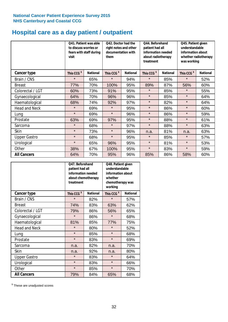## **Hospital care as a day patient / outpatient**

|                      | to discuss worries or<br>visit | Q41. Patient was able<br>fears with staff during | Q42. Doctor had the<br>right notes and other<br>documentation with<br>them |                 | Q44. Beforehand<br>patient had all<br>information needed<br>about radiotherapy<br>treatment |                 | Q45. Patient given<br>understandable<br>information about<br>whether radiotherapy<br>was working |                 |
|----------------------|--------------------------------|--------------------------------------------------|----------------------------------------------------------------------------|-----------------|---------------------------------------------------------------------------------------------|-----------------|--------------------------------------------------------------------------------------------------|-----------------|
| Cancer type          | This CCG <sup>\$</sup>         | <b>National</b>                                  | This CCG <sup>\$</sup>                                                     | <b>National</b> | This CCG <sup>\$</sup>                                                                      | <b>National</b> | This CCG <sup>\$</sup>                                                                           | <b>National</b> |
| Brain / CNS          | $\star$                        | 65%                                              | $\star$                                                                    | 94%             | $\star$                                                                                     | 85%             | $\star$                                                                                          | 52%             |
| <b>Breast</b>        | 77%                            | 70%                                              | 100%                                                                       | 95%             | 89%                                                                                         | 87%             | 56%                                                                                              | 60%             |
| Colorectal / LGT     | 60%                            | 73%                                              | 91%                                                                        | 95%             | $\star$                                                                                     | 85%             | $\star$                                                                                          | 55%             |
| Gynaecological       | 64%                            | 70%                                              | 96%                                                                        | 96%             | $\star$                                                                                     | 85%             | $\star$                                                                                          | 64%             |
| Haematological       | 68%                            | 74%                                              | 92%                                                                        | 97%             | $\star$                                                                                     | 82%             | $\star$                                                                                          | 64%             |
| <b>Head and Neck</b> | $\star$                        | 69%                                              | $\star$                                                                    | 95%             | $\star$                                                                                     | 86%             | $\star$                                                                                          | 60%             |
| Lung                 | $\star$                        | 69%                                              | $\star$                                                                    | 96%             | $\star$                                                                                     | 86%             | $\star$                                                                                          | 59%             |
| Prostate             | 63%                            | 69%                                              | 97%                                                                        | 95%             | $\star$                                                                                     | 88%             | $\star$                                                                                          | 61%             |
| Sarcoma              | $\star$                        | 68%                                              | $\star$                                                                    | 97%             | $\star$                                                                                     | 88%             | $\star$                                                                                          | 63%             |
| Skin                 | $\star$                        | 73%                                              | $\star$                                                                    | 96%             | n.a.                                                                                        | 81%             | n.a.                                                                                             | 63%             |
| <b>Upper Gastro</b>  | $\star$                        | 68%                                              | $\star$                                                                    | 95%             | $\star$                                                                                     | 85%             | $\star$                                                                                          | 57%             |
| Urological           | $\star$                        | 65%                                              | 96%                                                                        | 95%             | $\star$                                                                                     | 81%             | $\star$                                                                                          | 53%             |
| Other                | 38%                            | 67%                                              | 100%                                                                       | 95%             | $\star$                                                                                     | 83%             | $\star$                                                                                          | 59%             |
| <b>All Cancers</b>   | 64%                            | 70%                                              | 95%                                                                        | 96%             | 85%                                                                                         | 86%             | 58%                                                                                              | 60%             |

|                      | Q47. Beforehand<br>patient had all<br>information needed<br>about chemotherapy<br>treatment |                 | Q48. Patient given<br>understandable<br>information about<br>whether<br>chemotherapy was<br>working |                 |  |
|----------------------|---------------------------------------------------------------------------------------------|-----------------|-----------------------------------------------------------------------------------------------------|-----------------|--|
| <b>Cancer type</b>   | This CCG <sup>\$</sup>                                                                      | <b>National</b> | This CCG <sup>\$</sup>                                                                              | <b>National</b> |  |
| Brain / CNS          | $\star$                                                                                     | 82%             | $\star$                                                                                             | 57%             |  |
| <b>Breast</b>        | 74%                                                                                         | 83%             | 63%                                                                                                 | 62%             |  |
| Colorectal / LGT     | 79%                                                                                         | 86%             | 56%                                                                                                 | 65%             |  |
| Gynaecological       | $\star$                                                                                     | 86%             | $\star$                                                                                             | 68%             |  |
| Haematological       | 81%<br>85%                                                                                  |                 | 77%                                                                                                 | 75%             |  |
| <b>Head and Neck</b> | $\star$                                                                                     | 80%             | $\star$                                                                                             | 52%             |  |
| Lung                 | $\star$                                                                                     | 85%             | $\star$                                                                                             | 68%             |  |
| Prostate             | $\star$                                                                                     | 83%             | $\star$                                                                                             | 69%             |  |
| Sarcoma              | n.a.                                                                                        | 82%             | n.a.                                                                                                | 70%             |  |
| <b>Skin</b>          | n.a.                                                                                        | 92%             | n.a.                                                                                                | 80%             |  |
| <b>Upper Gastro</b>  | $\star$                                                                                     | 83%             | $\star$                                                                                             | 64%             |  |
| Urological           | $\star$                                                                                     | 83%             | $\star$                                                                                             | 66%             |  |
| Other                | $\star$                                                                                     | 85%             | $\star$                                                                                             | 70%             |  |
| <b>All Cancers</b>   | 79%                                                                                         | 84%             | 65%                                                                                                 | 68%             |  |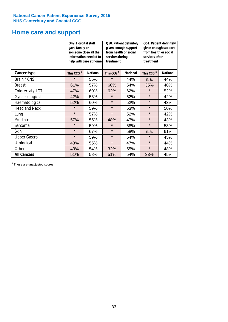## **Home care and support**

|                      | Q49. Hospital staff<br>gave family or | someone close all the<br>information needed to<br>help with care at home | Q50. Patient definitely<br>given enough support<br>from health or social<br>services during<br>treatment |     | Q51. Patient definitely<br>given enough support<br>from health or social<br>services after<br>treatment |                 |  |
|----------------------|---------------------------------------|--------------------------------------------------------------------------|----------------------------------------------------------------------------------------------------------|-----|---------------------------------------------------------------------------------------------------------|-----------------|--|
| <b>Cancer type</b>   | This CCG <sup>\$</sup>                | <b>National</b>                                                          | This CCG <sup>\$</sup><br><b>National</b>                                                                |     | This CCG <sup>\$</sup>                                                                                  | <b>National</b> |  |
| Brain / CNS          | $\star$                               | 56%                                                                      | $\star$                                                                                                  | 44% | n.a.                                                                                                    | 44%             |  |
| <b>Breast</b>        | 61%                                   | 57%                                                                      | 60%                                                                                                      | 54% | 35%                                                                                                     | 40%             |  |
| Colorectal / LGT     | 47%                                   | 60%                                                                      | 62%                                                                                                      | 62% | $\star$                                                                                                 | 52%             |  |
| Gynaecological       | 42%                                   | 56%                                                                      | $\star$                                                                                                  | 52% | $\star$                                                                                                 | 42%             |  |
| Haematological       | 52%                                   | 60%                                                                      | $\star$                                                                                                  | 52% | $\star$                                                                                                 | 43%             |  |
| <b>Head and Neck</b> | $\star$                               | 59%                                                                      | $\star$                                                                                                  | 53% | $\star$                                                                                                 | 50%             |  |
| Lung                 | $\star$                               | 57%                                                                      | $\star$                                                                                                  | 52% | $\star$                                                                                                 | 42%             |  |
| Prostate             | 57%                                   | 55%                                                                      | 48%                                                                                                      | 47% | $\star$                                                                                                 | 43%             |  |
| Sarcoma              | $\star$                               | 59%                                                                      | $\star$                                                                                                  | 58% | $\star$                                                                                                 | 53%             |  |
| Skin                 | $\star$                               | 67%                                                                      | $\star$                                                                                                  | 58% | n.a.                                                                                                    | 61%             |  |
| <b>Upper Gastro</b>  | $\star$                               | 59%                                                                      | $\star$                                                                                                  | 54% | $\star$                                                                                                 | 45%             |  |
| Urological           | 43%                                   | 55%                                                                      | $\star$                                                                                                  | 47% | $\star$                                                                                                 | 44%             |  |
| Other                | 43%                                   | 54%                                                                      | 32%                                                                                                      | 55% | $\star$                                                                                                 | 48%             |  |
| <b>All Cancers</b>   | 51%                                   | 58%                                                                      | 51%                                                                                                      | 54% | 33%                                                                                                     | 45%             |  |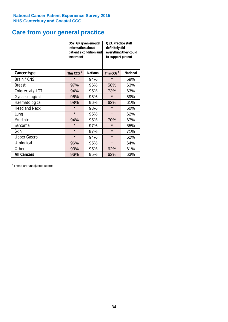## **Care from your general practice**

|                      | information about<br>treatment | Q52. GP given enough<br>patient's condition and | O53. Practice staff<br>definitely did<br>everything they could<br>to support patient |                 |  |
|----------------------|--------------------------------|-------------------------------------------------|--------------------------------------------------------------------------------------|-----------------|--|
| <b>Cancer type</b>   | This CCG <sup>\$</sup>         | <b>National</b>                                 | This CCG <sup>\$</sup>                                                               | <b>National</b> |  |
| Brain / CNS          | $\star$                        | 94%                                             | $\star$                                                                              | 59%             |  |
| <b>Breast</b>        | 97%                            | 96%                                             | 58%                                                                                  | 63%             |  |
| Colorectal / LGT     | 94%                            | 95%                                             | 73%                                                                                  | 63%             |  |
| Gynaecological       | 96%                            | 95%                                             | $\star$                                                                              | 59%             |  |
| Haematological       | 98%                            | 96%                                             | 63%                                                                                  | 61%             |  |
| <b>Head and Neck</b> | $\star$                        | 93%                                             | $\star$                                                                              | 60%             |  |
| Lung                 | $\star$                        | 95%                                             | $\star$                                                                              | 62%             |  |
| Prostate             | 94%                            | 95%                                             | 70%                                                                                  | 67%             |  |
| Sarcoma              | $\star$                        | 97%                                             | $\star$                                                                              | 65%             |  |
| Skin                 | $\star$                        | 97%                                             | $\star$                                                                              | 71%             |  |
| <b>Upper Gastro</b>  | $\star$                        | 94%                                             | $\star$                                                                              | 62%             |  |
| Urological           | 96%                            | 95%                                             | $\star$                                                                              | 64%             |  |
| Other                | 93%                            | 95%                                             | 62%                                                                                  | 61%             |  |
| <b>All Cancers</b>   | 96%                            | 95%                                             | 62%                                                                                  | 63%             |  |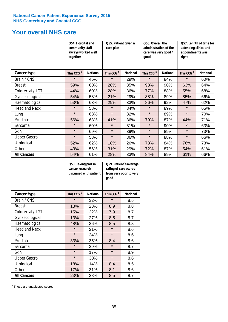## **Your overall NHS care**

|                      | together               | Q54. Hospital and<br>community staff<br>always worked well |                        | Q55. Patient given a<br>care plan |                        | Q56. Overall the<br>administration of the<br>care was very good /<br>qood |                        | Q57. Length of time for<br>attending clinics and<br>appointments was<br>right |  |
|----------------------|------------------------|------------------------------------------------------------|------------------------|-----------------------------------|------------------------|---------------------------------------------------------------------------|------------------------|-------------------------------------------------------------------------------|--|
| <b>Cancer type</b>   | This CCG <sup>\$</sup> | <b>National</b>                                            | This CCG <sup>\$</sup> | <b>National</b>                   | This CCG <sup>\$</sup> | <b>National</b>                                                           | This CCG <sup>\$</sup> | <b>National</b>                                                               |  |
| Brain / CNS          | $\star$                | 45%                                                        | $\star$                | 29%                               | $\star$                | 84%                                                                       | $\star$                | 60%                                                                           |  |
| <b>Breast</b>        | 59%                    | 60%                                                        | 28%                    | 35%                               | 93%                    | 90%                                                                       | 63%                    | 64%                                                                           |  |
| Colorectal / LGT     | 44%                    | 60%                                                        | 28%                    | 36%                               | 77%                    | 88%                                                                       | 55%                    | 68%                                                                           |  |
| Gynaecological       | 54%                    | 58%                                                        | 21%                    | 29%                               | 88%                    | 89%                                                                       | 85%                    | 66%                                                                           |  |
| Haematological       | 53%                    | 63%                                                        | 29%                    | 33%                               | 86%                    | 92%                                                                       | 47%                    | 62%                                                                           |  |
| <b>Head and Neck</b> | $\star$                | 58%                                                        | $\star$                | 34%                               | $\star$                | 89%                                                                       | $\star$                | 65%                                                                           |  |
| Lung                 | $\star$                | 63%                                                        | $\star$                | 32%                               | $\star$                | 89%                                                                       | $\star$                | 70%                                                                           |  |
| Prostate             | 56%                    | 63%                                                        | 41%                    | 36%                               | 79%                    | 87%                                                                       | 44%                    | 71%                                                                           |  |
| Sarcoma              | $\star$                | 60%                                                        | $\star$                | 31%                               | $\star$                | 90%                                                                       | $\star$                | 63%                                                                           |  |
| Skin                 | $\star$                | 69%                                                        | $\star$                | 39%                               | $\star$                | 89%                                                                       | $\star$                | 73%                                                                           |  |
| <b>Upper Gastro</b>  | $\star$                | 58%                                                        | $\star$                | 36%                               | $\star$                | 88%                                                                       | $\star$                | 66%                                                                           |  |
| Urological           | 52%                    | 62%                                                        | 18%                    | 26%                               | 73%                    | 84%                                                                       | 76%                    | 73%                                                                           |  |
| Other                | 43%                    | 56%                                                        | 31%                    | 29%                               | 72%                    | 87%                                                                       | 54%                    | 61%                                                                           |  |
| <b>All Cancers</b>   | 54%                    | 61%                                                        | 28%                    | 33%                               | 84%                    | 89%                                                                       | 61%                    | 66%                                                                           |  |

|                      | Q58. Taking part in<br>cancer research | discussed with patient | Q59. Patient's average<br>rating of care scored<br>from very poor to very<br>good |                 |  |
|----------------------|----------------------------------------|------------------------|-----------------------------------------------------------------------------------|-----------------|--|
| <b>Cancer type</b>   | This CCG <sup>\$</sup>                 | <b>National</b>        | This CCG <sup>\$</sup>                                                            | <b>National</b> |  |
| Brain / CNS          | $\star$                                | 32%                    | $\star$                                                                           | 8.5             |  |
| <b>Breast</b>        | 18%                                    | 28%                    | 8.9                                                                               | 8.8             |  |
| Colorectal / LGT     | 15%                                    | 22%                    | 7.9                                                                               | 8.7             |  |
| Gynaecological       | 13%                                    | 27%                    | 8.5                                                                               | 8.7             |  |
| Haematological       | 48%                                    | 36%                    | 8.5                                                                               | 8.8             |  |
| <b>Head and Neck</b> | $\star$                                | 21%                    | $\star$                                                                           | 8.6             |  |
| Lung                 | $\star$                                | 34%                    | $\star$                                                                           | 8.6             |  |
| Prostate             | 33%                                    | 35%                    | 8.4                                                                               | 8.6             |  |
| Sarcoma              | $\star$                                | 29%                    | $\star$                                                                           | 8.7             |  |
| <b>Skin</b>          | $\star$                                | 17%                    | $\star$                                                                           | 8.9             |  |
| <b>Upper Gastro</b>  | $\star$                                | 30%                    | $\star$                                                                           | 8.6             |  |
| Urological           | 18%                                    | 14%                    | 8.4                                                                               | 8.5             |  |
| Other                | 17%                                    | 31%                    | 8.1                                                                               | 8.6             |  |
| <b>All Cancers</b>   | 23%                                    | 28%                    | 8.5                                                                               | 8.7             |  |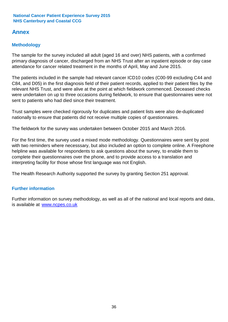## **Annex**

## **Methodology**

The sample for the survey included all adult (aged 16 and over) NHS patients, with a confirmed primary diagnosis of cancer, discharged from an NHS Trust after an inpatient episode or day case attendance for cancer related treatment in the months of April, May and June 2015.

The patients included in the sample had relevant cancer ICD10 codes (C00-99 excluding C44 and C84, and D05) in the first diagnosis field of their patient records, applied to their patient files by the relevant NHS Trust, and were alive at the point at which fieldwork commenced. Deceased checks were undertaken on up to three occasions during fieldwork, to ensure that questionnaires were not sent to patients who had died since their treatment.

Trust samples were checked rigorously for duplicates and patient lists were also de-duplicated nationally to ensure that patients did not receive multiple copies of questionnaires.

The fieldwork for the survey was undertaken between October 2015 and March 2016.

For the first time, the survey used a mixed mode methodology. Questionnaires were sent by post with two reminders where necesssary, but also included an option to complete online. A Freephone helpline was available for respondents to ask questions about the survey, to enable them to complete their questionnaires over the phone, and to provide access to a translation and interpreting facility for those whose first language was not English.

The Health Research Authority supported the survey by granting Section 251 approval.

## **Further information**

Further information on survey methodology, as well as all of the national and local reports and data, is available at www.ncpes.co.uk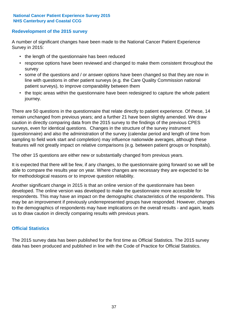## **Redevelopment of the 2015 survey**

A number of significant changes have been made to the National Cancer Patient Experience Survey in 2015:

- the length of the questionnaire has been reduced
- response options have been reviewed and changed to make them consistent throughout the survey
- some of the questions and / or answer options have been changed so that they are now in line with questions in other patient surveys (e.g. the Care Quality Commission national patient surveys), to improve comparability between them
- the topic areas within the questionnaire have been redesigned to capture the whole patient journey.

There are 50 questions in the questionnaire that relate directly to patient experience. Of these, 14 remain unchanged from previous years; and a further 21 have been slightly amended. We draw caution in directly comparing data from the 2015 survey to the findings of the previous CPES surveys, even for identical questions. Changes in the structure of the survey instrument (questionnaire) and also the administration of the survey (calendar period and length of time from sampling to field work start and completion) may influence nationwide averages, although these features will not greatly impact on relative comparisons (e.g. between patient groups or hospitals).

The other 15 questions are either new or substantially changed from previous years.

It is expected that there will be few, if any changes, to the questionnaire going forward so we will be able to compare the results year on year. Where changes are necessary they are expected to be for methodological reasons or to improve question reliability.

Another significant change in 2015 is that an online version of the questionnaire has been developed. The online version was developed to make the questionnaire more accessible for respondents. This may have an impact on the demographic characteristics of the respondents. This may be an improvement if previously underrepresented groups have responded. However, changes to the demographics of respondents may have implications on the overall results - and again, leads us to draw caution in directly comparing results with previous years.

## **Official Statistics**

The 2015 survey data has been published for the first time as Official Statistics. The 2015 survey data has been produced and published in line with the Code of Practice for Official Statistics.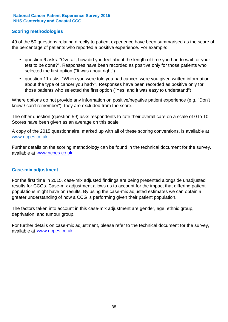### **Scoring methodologies**

49 of the 50 questions relating directly to patient experience have been summarised as the score of the percentage of patients who reported a positive experience. For example:

- question 6 asks: "Overall, how did you feel about the length of time you had to wait for your test to be done?". Responses have been recorded as positive only for those patients who selected the first option ("It was about right")
- question 11 asks: "When you were told you had cancer, were you given written information about the type of cancer you had?". Responses have been recorded as positive only for those patients who selected the first option ("Yes, and it was easy to understand").

Where options do not provide any information on positive/negative patient experience (e.g. "Don't know / can't remember"), they are excluded from the score.

The other question (question 59) asks respondents to rate their overall care on a scale of 0 to 10. Scores have been given as an average on this scale.

A copy of the 2015 questionnaire, marked up with all of these scoring conventions, is available at www.ncpes.co.uk

Further details on the scoring methodology can be found in the technical document for the survey, available at <u>www.ncpes.co.uk</u>

#### **Case-mix adjustment**

For the first time in 2015, case-mix adjusted findings are being presented alongside unadjusted results for CCGs. Case-mix adjustment allows us to account for the impact that differing patient populations might have on results. By using the case-mix adjusted estimates we can obtain a greater understanding of how a CCG is performing given their patient population.

The factors taken into account in this case-mix adjustment are gender, age, ethnic group, deprivation, and tumour group.

For further details on case-mix adjustment, please refer to the technical document for the survey, available at www.ncpes.co.uk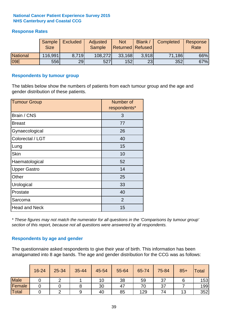## **Response Rates**

|                 | Sample<br><b>Size</b> | <b>Excluded</b> | Adjusted<br><b>Sample</b> | <b>Not</b><br>Returned Refused | Blank / | Completed | Response<br>Rate |
|-----------------|-----------------------|-----------------|---------------------------|--------------------------------|---------|-----------|------------------|
| <b>National</b> | 116,991               | 8.719           | 108,272                   | 33,168                         | 3.918   | 71,186    | 66%              |
| 09E             | 556                   | 29              | 527                       | 152                            | 23      | 352       | 67%              |

#### **Respondents by tumour group**

The tables below show the numbers of patients from each tumour group and the age and gender distribution of these patients.

| <b>Tumour Group</b>  | Number of<br>respondents* |
|----------------------|---------------------------|
| Brain / CNS          | 3                         |
| <b>Breast</b>        | 77                        |
| Gynaecological       | 26                        |
| Colorectal / LGT     | 40                        |
| Lung                 | 15                        |
| <b>Skin</b>          | 10                        |
| Haematological       | 52                        |
| <b>Upper Gastro</b>  | 14                        |
| Other                | 25                        |
| Urological           | 33                        |
| Prostate             | 40                        |
| Sarcoma              | $\overline{2}$            |
| <b>Head and Neck</b> | 15                        |

*\* These figures may not match the numerator for all questions in the 'Comparisons by tumour group' section of this report, because not all questions were answered by all respondents.*

## **Respondents by age and gender**

The questionnaire asked respondents to give their year of birth. This information has been amalgamated into 8 age bands. The age and gender distribution for the CCG was as follows:

|             | 16-24 | 25-34 | 35-44 | 45-54 | 55-64 | 65-74 | 75-84 | $85+$ | <b>Total</b> |
|-------------|-------|-------|-------|-------|-------|-------|-------|-------|--------------|
| <b>Male</b> |       |       |       | 10    | 38    | 59    | 37    |       | 153          |
| Female      |       |       |       | 30    | 47    | 70    | 37    |       | 199          |
| Total       |       |       |       | 40    | 85    | 129   | 74    | 13    | 352          |